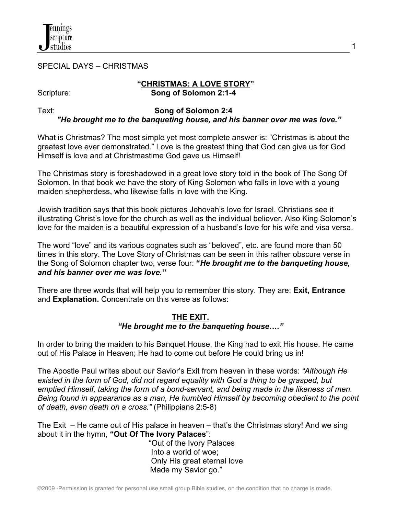

SPECIAL DAYS – CHRISTMAS

#### **"CHRISTMAS: A LOVE STORY"** Scripture: **Song of Solomon 2:1-4**

1

# Text: **Song of Solomon 2:4**  *"He brought me to the banqueting house, and his banner over me was love."*

What is Christmas? The most simple yet most complete answer is: "Christmas is about the greatest love ever demonstrated." Love is the greatest thing that God can give us for God Himself is love and at Christmastime God gave us Himself!

The Christmas story is foreshadowed in a great love story told in the book of The Song Of Solomon. In that book we have the story of King Solomon who falls in love with a young maiden shepherdess, who likewise falls in love with the King.

Jewish tradition says that this book pictures Jehovah's love for Israel. Christians see it illustrating Christ's love for the church as well as the individual believer. Also King Solomon's love for the maiden is a beautiful expression of a husband's love for his wife and visa versa.

The word "love" and its various cognates such as "beloved", etc. are found more than 50 times in this story. The Love Story of Christmas can be seen in this rather obscure verse in the Song of Solomon chapter two, verse four: **"***He brought me to the banqueting house, and his banner over me was love."*

There are three words that will help you to remember this story. They are: **Exit, Entrance** and **Explanation.** Concentrate on this verse as follows:

#### **THE EXIT.**  *"He brought me to the banqueting house…."*

In order to bring the maiden to his Banquet House, the King had to exit His house. He came out of His Palace in Heaven; He had to come out before He could bring us in!

The Apostle Paul writes about our Savior's Exit from heaven in these words: *"Although He existed in the form of God, did not regard equality with God a thing to be grasped, but emptied Himself, taking the form of a bond-servant, and being made in the likeness of men. Being found in appearance as a man, He humbled Himself by becoming obedient to the point of death, even death on a cross."* (Philippians 2:5-8)

The Exit – He came out of His palace in heaven – that's the Christmas story! And we sing about it in the hymn, **"Out Of The Ivory Palaces**":

 "Out of the Ivory Palaces Into a world of woe; Only His great eternal love Made my Savior go."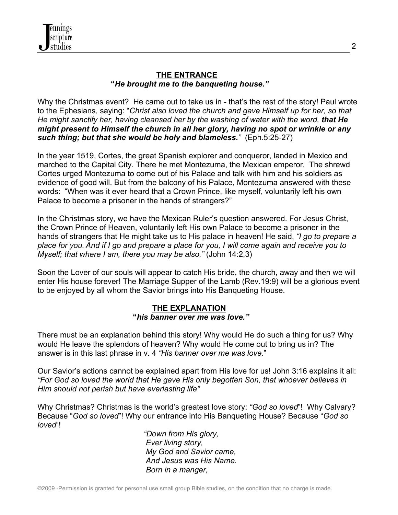## **THE ENTRANCE "***He brought me to the banqueting house."*

Why the Christmas event? He came out to take us in - that's the rest of the story! Paul wrote to the Ephesians, saying: "*Christ also loved the church and gave Himself up for her, so that He might sanctify her, having cleansed her by the washing of water with the word, that He might present to Himself the church in all her glory, having no spot or wrinkle or any such thing; but that she would be holy and blameless."* (Eph.5:25-27)

In the year 1519, Cortes, the great Spanish explorer and conqueror, landed in Mexico and marched to the Capital City. There he met Montezuma, the Mexican emperor. The shrewd Cortes urged Montezuma to come out of his Palace and talk with him and his soldiers as evidence of good will. But from the balcony of his Palace, Montezuma answered with these words: "When was it ever heard that a Crown Prince, like myself, voluntarily left his own Palace to become a prisoner in the hands of strangers?"

In the Christmas story, we have the Mexican Ruler's question answered. For Jesus Christ, the Crown Prince of Heaven, voluntarily left His own Palace to become a prisoner in the hands of strangers that He might take us to His palace in heaven! He said, *"I go to prepare a place for you. And if I go and prepare a place for you, I will come again and receive you to Myself; that where I am, there you may be also."* (John 14:2,3)

Soon the Lover of our souls will appear to catch His bride, the church, away and then we will enter His house forever! The Marriage Supper of the Lamb (Rev.19:9) will be a glorious event to be enjoyed by all whom the Savior brings into His Banqueting House.

### **THE EXPLANATION "***his banner over me was love."*

There must be an explanation behind this story! Why would He do such a thing for us? Why would He leave the splendors of heaven? Why would He come out to bring us in? The answer is in this last phrase in v. 4 *"His banner over me was love*."

Our Savior's actions cannot be explained apart from His love for us! John 3:16 explains it all: *"For God so loved the world that He gave His only begotten Son, that whoever believes in Him should not perish but have everlasting life"*

Why Christmas? Christmas is the world's greatest love story: *"God so loved*"! Why Calvary? Because "*God so loved*"! Why our entrance into His Banqueting House? Because "*God so loved*"!

> *"Down from His glory, Ever living story, My God and Savior came, And Jesus was His Name. Born in a manger,*